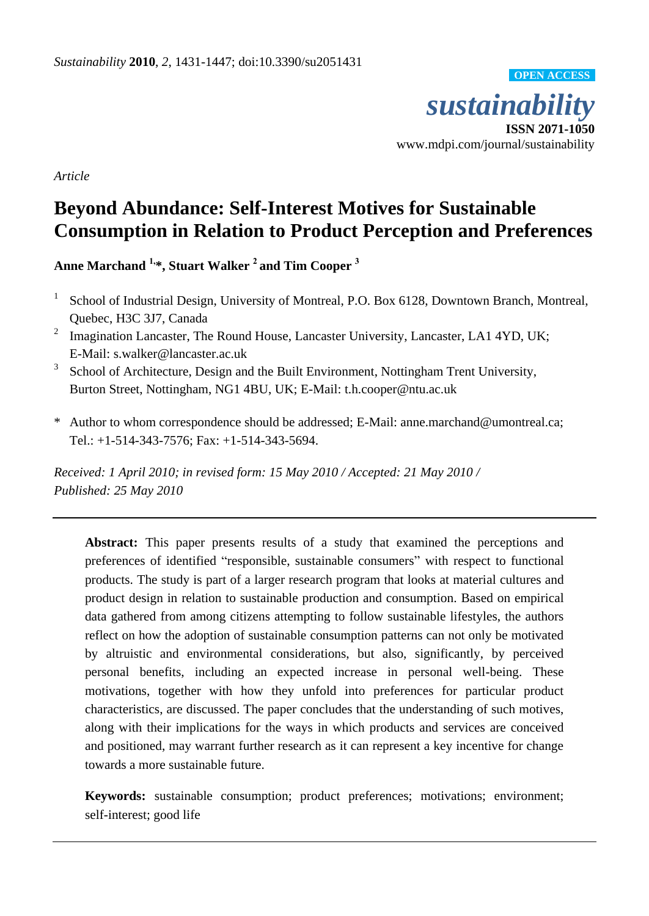*sustainability* **ISSN 2071-1050** www.mdpi.com/journal/sustainability **OPEN ACCESS**

*Article*

# **Beyond Abundance: Self-Interest Motives for Sustainable Consumption in Relation to Product Perception and Preferences**

**Anne Marchand 1,\*, Stuart Walker <sup>2</sup>and Tim Cooper <sup>3</sup>**

- 1 School of Industrial Design, University of Montreal, P.O. Box 6128, Downtown Branch, Montreal, Quebec, H3C 3J7, Canada
- 2 Imagination Lancaster, The Round House, Lancaster University, Lancaster, LA1 4YD, UK; E-Mail: s.walker@lancaster.ac.uk
- 3 School of Architecture, Design and the Built Environment, Nottingham Trent University, Burton Street, Nottingham, NG1 4BU, UK; E-Mail: t.h.cooper@ntu.ac.uk
- \* Author to whom correspondence should be addressed; E-Mail: anne.marchand@umontreal.ca; Tel.: +1-514-343-7576; Fax: +1-514-343-5694.

*Received: 1 April 2010; in revised form: 15 May 2010 / Accepted: 21 May 2010 / Published: 25 May 2010*

**Abstract:** This paper presents results of a study that examined the perceptions and preferences of identified "responsible, sustainable consumers" with respect to functional products. The study is part of a larger research program that looks at material cultures and product design in relation to sustainable production and consumption. Based on empirical data gathered from among citizens attempting to follow sustainable lifestyles, the authors reflect on how the adoption of sustainable consumption patterns can not only be motivated by altruistic and environmental considerations, but also, significantly, by perceived personal benefits, including an expected increase in personal well-being. These motivations, together with how they unfold into preferences for particular product characteristics, are discussed. The paper concludes that the understanding of such motives, along with their implications for the ways in which products and services are conceived and positioned, may warrant further research as it can represent a key incentive for change towards a more sustainable future.

**Keywords:** sustainable consumption; product preferences; motivations; environment; self-interest; good life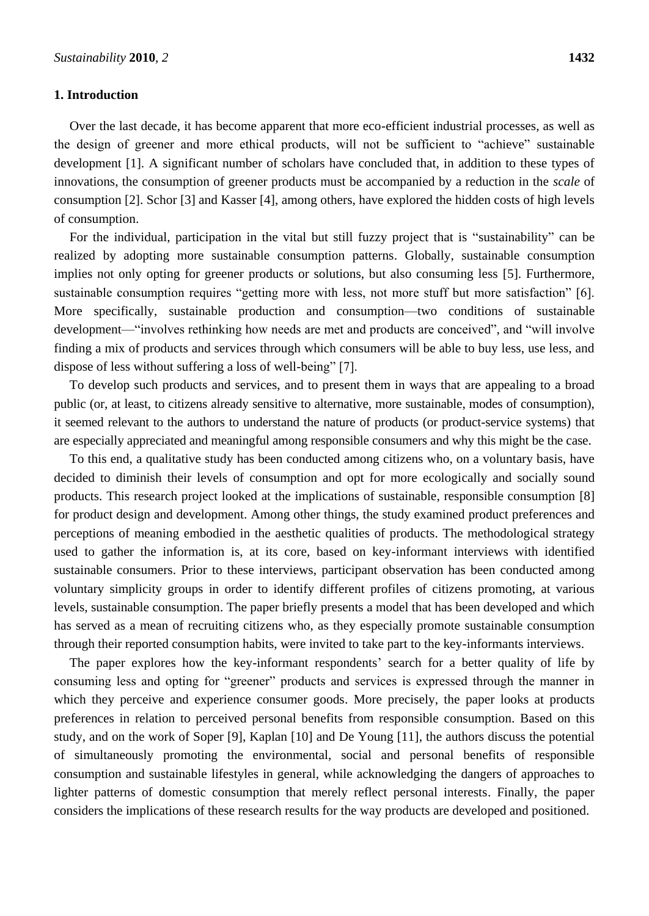## **1. Introduction**

Over the last decade, it has become apparent that more eco-efficient industrial processes, as well as the design of greener and more ethical products, will not be sufficient to "achieve" sustainable development [1]. A significant number of scholars have concluded that, in addition to these types of innovations, the consumption of greener products must be accompanied by a reduction in the *scale* of consumption [2]. Schor [3] and Kasser [4], among others, have explored the hidden costs of high levels of consumption.

For the individual, participation in the vital but still fuzzy project that is "sustainability" can be realized by adopting more sustainable consumption patterns. Globally, sustainable consumption implies not only opting for greener products or solutions, but also consuming less [5]. Furthermore, sustainable consumption requires "getting more with less, not more stuff but more satisfaction" [6]. More specifically, sustainable production and consumption—two conditions of sustainable development—"involves rethinking how needs are met and products are conceived", and "will involve finding a mix of products and services through which consumers will be able to buy less, use less, and dispose of less without suffering a loss of well-being" [7].

To develop such products and services, and to present them in ways that are appealing to a broad public (or, at least, to citizens already sensitive to alternative, more sustainable, modes of consumption), it seemed relevant to the authors to understand the nature of products (or product-service systems) that are especially appreciated and meaningful among responsible consumers and why this might be the case.

To this end, a qualitative study has been conducted among citizens who, on a voluntary basis, have decided to diminish their levels of consumption and opt for more ecologically and socially sound products. This research project looked at the implications of sustainable, responsible consumption [8] for product design and development. Among other things, the study examined product preferences and perceptions of meaning embodied in the aesthetic qualities of products. The methodological strategy used to gather the information is, at its core, based on key-informant interviews with identified sustainable consumers. Prior to these interviews, participant observation has been conducted among voluntary simplicity groups in order to identify different profiles of citizens promoting, at various levels, sustainable consumption. The paper briefly presents a model that has been developed and which has served as a mean of recruiting citizens who, as they especially promote sustainable consumption through their reported consumption habits, were invited to take part to the key-informants interviews.

The paper explores how the key-informant respondents' search for a better quality of life by consuming less and opting for "greener" products and services is expressed through the manner in which they perceive and experience consumer goods. More precisely, the paper looks at products preferences in relation to perceived personal benefits from responsible consumption. Based on this study, and on the work of Soper [9], Kaplan [10] and De Young [11], the authors discuss the potential of simultaneously promoting the environmental, social and personal benefits of responsible consumption and sustainable lifestyles in general, while acknowledging the dangers of approaches to lighter patterns of domestic consumption that merely reflect personal interests. Finally, the paper considers the implications of these research results for the way products are developed and positioned.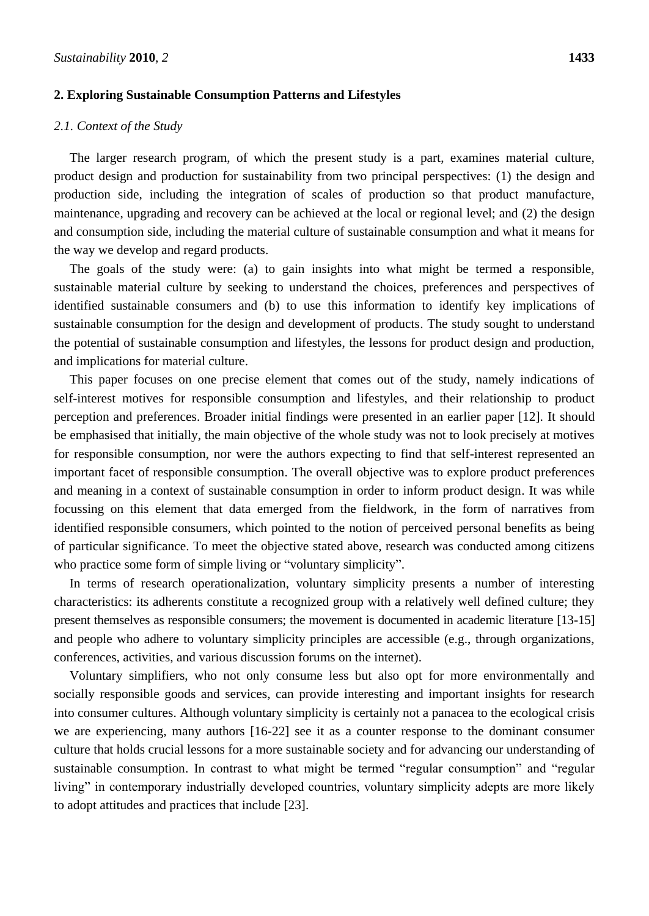## **2. Exploring Sustainable Consumption Patterns and Lifestyles**

#### *2.1. Context of the Study*

The larger research program, of which the present study is a part, examines material culture, product design and production for sustainability from two principal perspectives: (1) the design and production side, including the integration of scales of production so that product manufacture, maintenance, upgrading and recovery can be achieved at the local or regional level; and (2) the design and consumption side, including the material culture of sustainable consumption and what it means for the way we develop and regard products.

The goals of the study were: (a) to gain insights into what might be termed a responsible, sustainable material culture by seeking to understand the choices, preferences and perspectives of identified sustainable consumers and (b) to use this information to identify key implications of sustainable consumption for the design and development of products. The study sought to understand the potential of sustainable consumption and lifestyles, the lessons for product design and production, and implications for material culture.

This paper focuses on one precise element that comes out of the study, namely indications of self-interest motives for responsible consumption and lifestyles, and their relationship to product perception and preferences. Broader initial findings were presented in an earlier paper [12]. It should be emphasised that initially, the main objective of the whole study was not to look precisely at motives for responsible consumption, nor were the authors expecting to find that self-interest represented an important facet of responsible consumption. The overall objective was to explore product preferences and meaning in a context of sustainable consumption in order to inform product design. It was while focussing on this element that data emerged from the fieldwork, in the form of narratives from identified responsible consumers, which pointed to the notion of perceived personal benefits as being of particular significance. To meet the objective stated above, research was conducted among citizens who practice some form of simple living or "voluntary simplicity".

In terms of research operationalization, voluntary simplicity presents a number of interesting characteristics: its adherents constitute a recognized group with a relatively well defined culture; they present themselves as responsible consumers; the movement is documented in academic literature [13-15] and people who adhere to voluntary simplicity principles are accessible (e.g., through organizations, conferences, activities, and various discussion forums on the internet).

Voluntary simplifiers, who not only consume less but also opt for more environmentally and socially responsible goods and services, can provide interesting and important insights for research into consumer cultures. Although voluntary simplicity is certainly not a panacea to the ecological crisis we are experiencing, many authors [16-22] see it as a counter response to the dominant consumer culture that holds crucial lessons for a more sustainable society and for advancing our understanding of sustainable consumption. In contrast to what might be termed "regular consumption" and "regular living" in contemporary industrially developed countries, voluntary simplicity adepts are more likely to adopt attitudes and practices that include [23].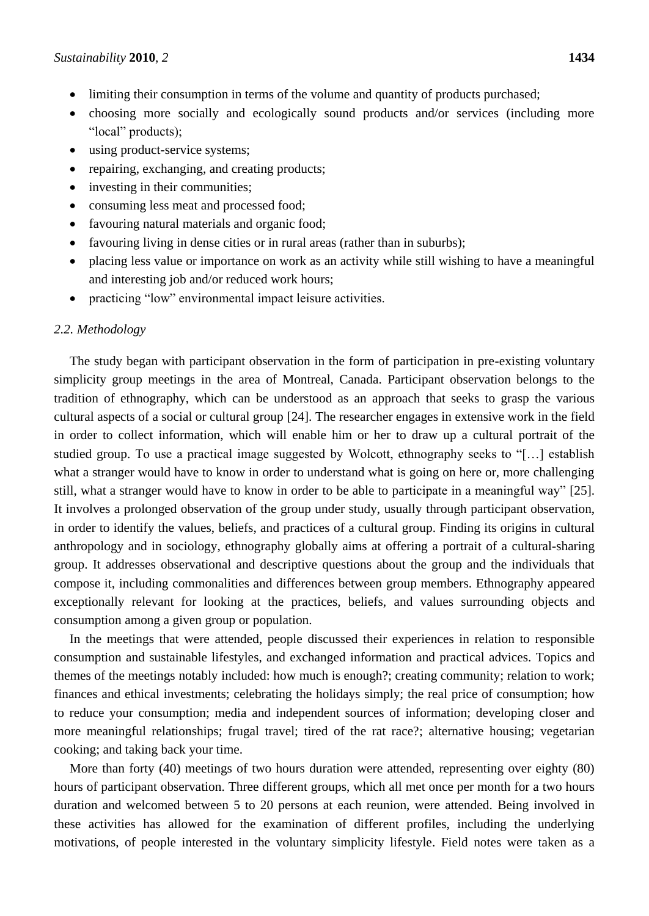- limiting their consumption in terms of the volume and quantity of products purchased;
- choosing more socially and ecologically sound products and/or services (including more "local" products);
- using product-service systems;
- repairing, exchanging, and creating products;
- investing in their communities:
- consuming less meat and processed food;
- favouring natural materials and organic food;
- favouring living in dense cities or in rural areas (rather than in suburbs);
- placing less value or importance on work as an activity while still wishing to have a meaningful and interesting job and/or reduced work hours;
- practicing "low" environmental impact leisure activities.

## *2.2. Methodology*

The study began with participant observation in the form of participation in pre-existing voluntary simplicity group meetings in the area of Montreal, Canada. Participant observation belongs to the tradition of ethnography, which can be understood as an approach that seeks to grasp the various cultural aspects of a social or cultural group [24]. The researcher engages in extensive work in the field in order to collect information, which will enable him or her to draw up a cultural portrait of the studied group. To use a practical image suggested by Wolcott, ethnography seeks to  $\lceil \ldots \rceil$  establish what a stranger would have to know in order to understand what is going on here or, more challenging still, what a stranger would have to know in order to be able to participate in a meaningful way" [25]. It involves a prolonged observation of the group under study, usually through participant observation, in order to identify the values, beliefs, and practices of a cultural group. Finding its origins in cultural anthropology and in sociology, ethnography globally aims at offering a portrait of a cultural-sharing group. It addresses observational and descriptive questions about the group and the individuals that compose it, including commonalities and differences between group members. Ethnography appeared exceptionally relevant for looking at the practices, beliefs, and values surrounding objects and consumption among a given group or population.

In the meetings that were attended, people discussed their experiences in relation to responsible consumption and sustainable lifestyles, and exchanged information and practical advices. Topics and themes of the meetings notably included: how much is enough?; creating community; relation to work; finances and ethical investments; celebrating the holidays simply; the real price of consumption; how to reduce your consumption; media and independent sources of information; developing closer and more meaningful relationships; frugal travel; tired of the rat race?; alternative housing; vegetarian cooking; and taking back your time.

More than forty (40) meetings of two hours duration were attended, representing over eighty (80) hours of participant observation. Three different groups, which all met once per month for a two hours duration and welcomed between 5 to 20 persons at each reunion, were attended. Being involved in these activities has allowed for the examination of different profiles, including the underlying motivations, of people interested in the voluntary simplicity lifestyle. Field notes were taken as a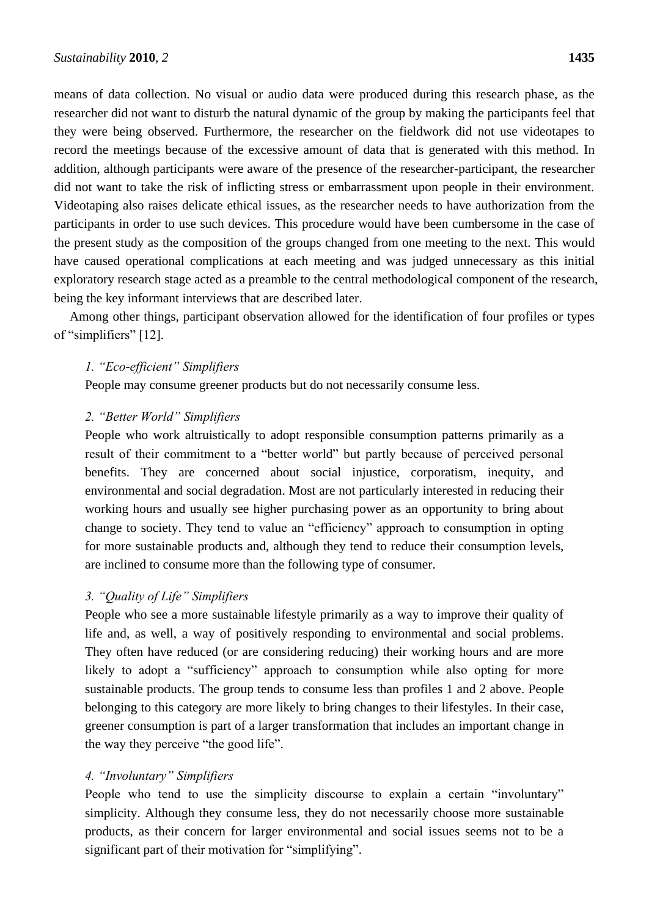means of data collection. No visual or audio data were produced during this research phase, as the researcher did not want to disturb the natural dynamic of the group by making the participants feel that they were being observed. Furthermore, the researcher on the fieldwork did not use videotapes to record the meetings because of the excessive amount of data that is generated with this method. In addition, although participants were aware of the presence of the researcher-participant, the researcher did not want to take the risk of inflicting stress or embarrassment upon people in their environment. Videotaping also raises delicate ethical issues, as the researcher needs to have authorization from the participants in order to use such devices. This procedure would have been cumbersome in the case of the present study as the composition of the groups changed from one meeting to the next. This would have caused operational complications at each meeting and was judged unnecessary as this initial exploratory research stage acted as a preamble to the central methodological component of the research, being the key informant interviews that are described later.

Among other things, participant observation allowed for the identification of four profiles or types of "simplifiers" [12].

### *1. "Eco-efficient" Simplifiers*

People may consume greener products but do not necessarily consume less.

#### *2. "Better World" Simplifiers*

People who work altruistically to adopt responsible consumption patterns primarily as a result of their commitment to a "better world" but partly because of perceived personal benefits. They are concerned about social injustice, corporatism, inequity, and environmental and social degradation. Most are not particularly interested in reducing their working hours and usually see higher purchasing power as an opportunity to bring about change to society. They tend to value an "efficiency" approach to consumption in opting for more sustainable products and, although they tend to reduce their consumption levels, are inclined to consume more than the following type of consumer.

## *3. "Quality of Life" Simplifiers*

People who see a more sustainable lifestyle primarily as a way to improve their quality of life and, as well, a way of positively responding to environmental and social problems. They often have reduced (or are considering reducing) their working hours and are more likely to adopt a "sufficiency" approach to consumption while also opting for more sustainable products. The group tends to consume less than profiles 1 and 2 above. People belonging to this category are more likely to bring changes to their lifestyles. In their case, greener consumption is part of a larger transformation that includes an important change in the way they perceive "the good life".

## *4. "Involuntary" Simplifiers*

People who tend to use the simplicity discourse to explain a certain "involuntary" simplicity. Although they consume less, they do not necessarily choose more sustainable products, as their concern for larger environmental and social issues seems not to be a significant part of their motivation for "simplifying".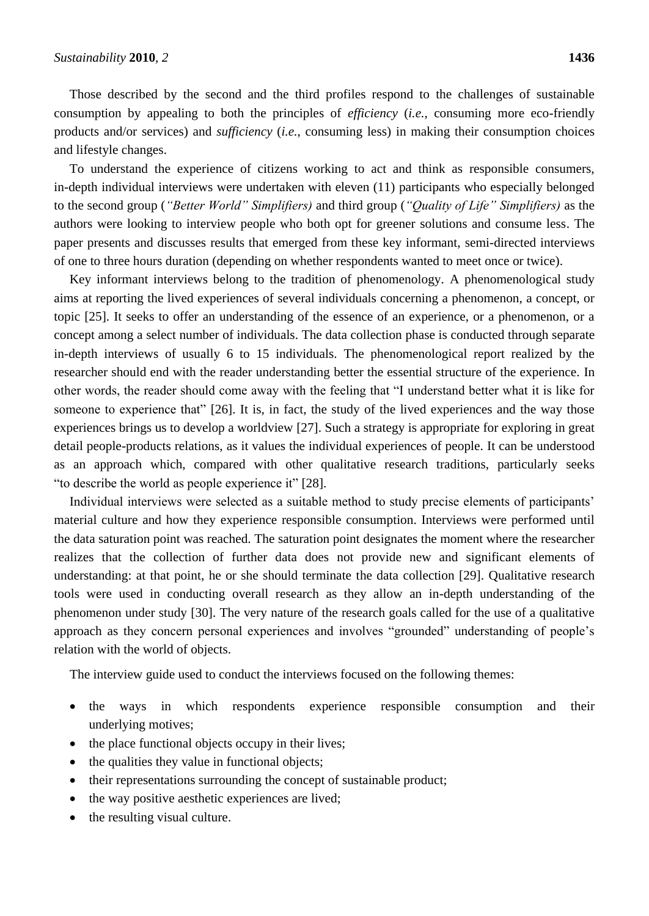Those described by the second and the third profiles respond to the challenges of sustainable consumption by appealing to both the principles of *efficiency* (*i.e.*, consuming more eco-friendly products and/or services) and *sufficiency* (*i.e.*, consuming less) in making their consumption choices and lifestyle changes.

To understand the experience of citizens working to act and think as responsible consumers, in-depth individual interviews were undertaken with eleven (11) participants who especially belonged to the second group (*"Better World" Simplifiers)* and third group (*"Quality of Life" Simplifiers)* as the authors were looking to interview people who both opt for greener solutions and consume less. The paper presents and discusses results that emerged from these key informant, semi-directed interviews of one to three hours duration (depending on whether respondents wanted to meet once or twice).

Key informant interviews belong to the tradition of phenomenology. A phenomenological study aims at reporting the lived experiences of several individuals concerning a phenomenon, a concept, or topic [25]. It seeks to offer an understanding of the essence of an experience, or a phenomenon, or a concept among a select number of individuals. The data collection phase is conducted through separate in-depth interviews of usually 6 to 15 individuals. The phenomenological report realized by the researcher should end with the reader understanding better the essential structure of the experience. In other words, the reader should come away with the feeling that "I understand better what it is like for someone to experience that" [26]. It is, in fact, the study of the lived experiences and the way those experiences brings us to develop a worldview [27]. Such a strategy is appropriate for exploring in great detail people-products relations, as it values the individual experiences of people. It can be understood as an approach which, compared with other qualitative research traditions, particularly seeks "to describe the world as people experience it" [28].

Individual interviews were selected as a suitable method to study precise elements of participants' material culture and how they experience responsible consumption. Interviews were performed until the data saturation point was reached. The saturation point designates the moment where the researcher realizes that the collection of further data does not provide new and significant elements of understanding: at that point, he or she should terminate the data collection [29]. Qualitative research tools were used in conducting overall research as they allow an in-depth understanding of the phenomenon under study [30]. The very nature of the research goals called for the use of a qualitative approach as they concern personal experiences and involves "grounded" understanding of people's relation with the world of objects.

The interview guide used to conduct the interviews focused on the following themes:

- the ways in which respondents experience responsible consumption and their underlying motives;
- the place functional objects occupy in their lives;
- the qualities they value in functional objects;
- their representations surrounding the concept of sustainable product;
- the way positive aesthetic experiences are lived;
- the resulting visual culture.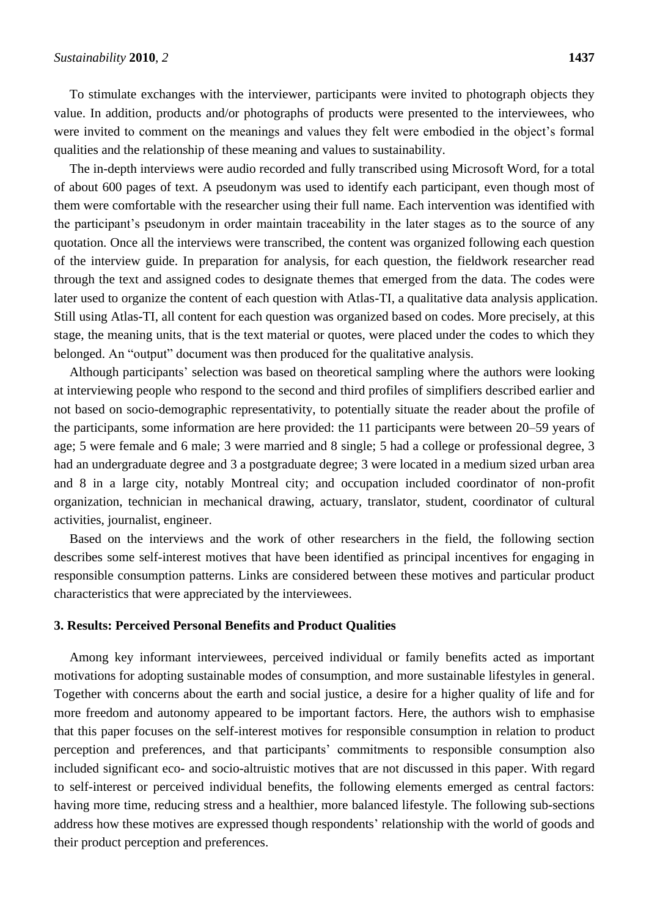To stimulate exchanges with the interviewer, participants were invited to photograph objects they value. In addition, products and/or photographs of products were presented to the interviewees, who were invited to comment on the meanings and values they felt were embodied in the object's formal qualities and the relationship of these meaning and values to sustainability.

The in-depth interviews were audio recorded and fully transcribed using Microsoft Word, for a total of about 600 pages of text. A pseudonym was used to identify each participant, even though most of them were comfortable with the researcher using their full name. Each intervention was identified with the participant's pseudonym in order maintain traceability in the later stages as to the source of any quotation. Once all the interviews were transcribed, the content was organized following each question of the interview guide. In preparation for analysis, for each question, the fieldwork researcher read through the text and assigned codes to designate themes that emerged from the data. The codes were later used to organize the content of each question with Atlas-TI, a qualitative data analysis application. Still using Atlas-TI, all content for each question was organized based on codes. More precisely, at this stage, the meaning units, that is the text material or quotes, were placed under the codes to which they belonged. An "output" document was then produced for the qualitative analysis.

Although participants' selection was based on theoretical sampling where the authors were looking at interviewing people who respond to the second and third profiles of simplifiers described earlier and not based on socio-demographic representativity, to potentially situate the reader about the profile of the participants, some information are here provided: the 11 participants were between 20–59 years of age; 5 were female and 6 male; 3 were married and 8 single; 5 had a college or professional degree, 3 had an undergraduate degree and 3 a postgraduate degree; 3 were located in a medium sized urban area and 8 in a large city, notably Montreal city; and occupation included coordinator of non-profit organization, technician in mechanical drawing, actuary, translator, student, coordinator of cultural activities, journalist, engineer.

Based on the interviews and the work of other researchers in the field, the following section describes some self-interest motives that have been identified as principal incentives for engaging in responsible consumption patterns. Links are considered between these motives and particular product characteristics that were appreciated by the interviewees.

### **3. Results: Perceived Personal Benefits and Product Qualities**

Among key informant interviewees, perceived individual or family benefits acted as important motivations for adopting sustainable modes of consumption, and more sustainable lifestyles in general. Together with concerns about the earth and social justice, a desire for a higher quality of life and for more freedom and autonomy appeared to be important factors. Here, the authors wish to emphasise that this paper focuses on the self-interest motives for responsible consumption in relation to product perception and preferences, and that participants' commitments to responsible consumption also included significant eco- and socio-altruistic motives that are not discussed in this paper. With regard to self-interest or perceived individual benefits, the following elements emerged as central factors: having more time, reducing stress and a healthier, more balanced lifestyle. The following sub-sections address how these motives are expressed though respondents' relationship with the world of goods and their product perception and preferences.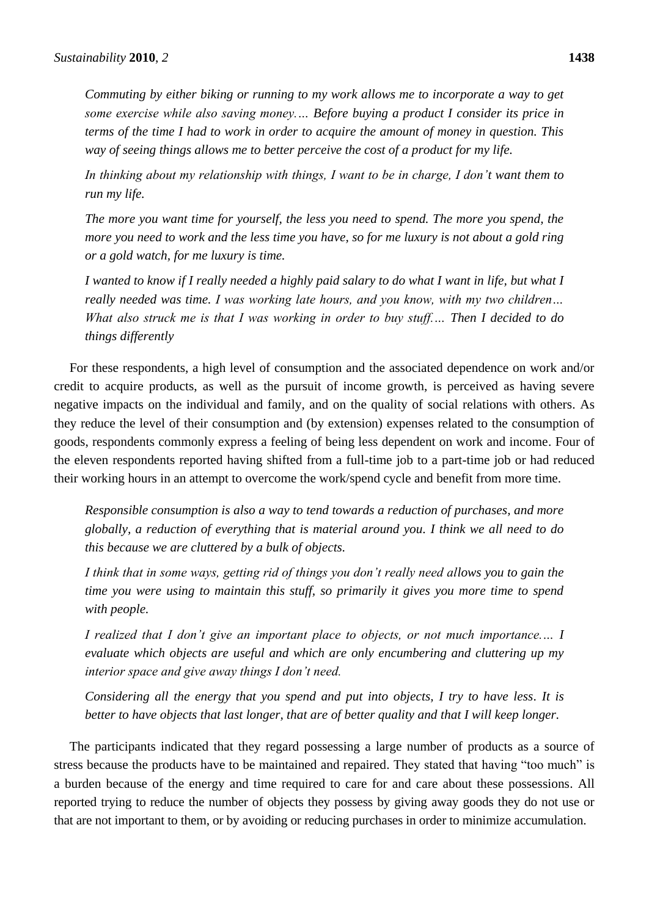*Commuting by either biking or running to my work allows me to incorporate a way to get some exercise while also saving money.… Before buying a product I consider its price in terms of the time I had to work in order to acquire the amount of money in question. This way of seeing things allows me to better perceive the cost of a product for my life.*

*In thinking about my relationship with things, I want to be in charge, I don't want them to run my life.*

*The more you want time for yourself, the less you need to spend. The more you spend, the more you need to work and the less time you have, so for me luxury is not about a gold ring or a gold watch, for me luxury is time.*

*I wanted to know if I really needed a highly paid salary to do what I want in life, but what I really needed was time. I was working late hours, and you know, with my two children… What also struck me is that I was working in order to buy stuff.… Then I decided to do things differently*

For these respondents, a high level of consumption and the associated dependence on work and/or credit to acquire products, as well as the pursuit of income growth, is perceived as having severe negative impacts on the individual and family, and on the quality of social relations with others. As they reduce the level of their consumption and (by extension) expenses related to the consumption of goods, respondents commonly express a feeling of being less dependent on work and income. Four of the eleven respondents reported having shifted from a full-time job to a part-time job or had reduced their working hours in an attempt to overcome the work/spend cycle and benefit from more time.

*Responsible consumption is also a way to tend towards a reduction of purchases, and more globally, a reduction of everything that is material around you. I think we all need to do this because we are cluttered by a bulk of objects.*

*I think that in some ways, getting rid of things you don't really need allows you to gain the time you were using to maintain this stuff, so primarily it gives you more time to spend with people.*

*I realized that I don't give an important place to objects, or not much importance.... I evaluate which objects are useful and which are only encumbering and cluttering up my interior space and give away things I don't need.*

*Considering all the energy that you spend and put into objects, I try to have less. It is better to have objects that last longer, that are of better quality and that I will keep longer.*

The participants indicated that they regard possessing a large number of products as a source of stress because the products have to be maintained and repaired. They stated that having "too much" is a burden because of the energy and time required to care for and care about these possessions. All reported trying to reduce the number of objects they possess by giving away goods they do not use or that are not important to them, or by avoiding or reducing purchases in order to minimize accumulation.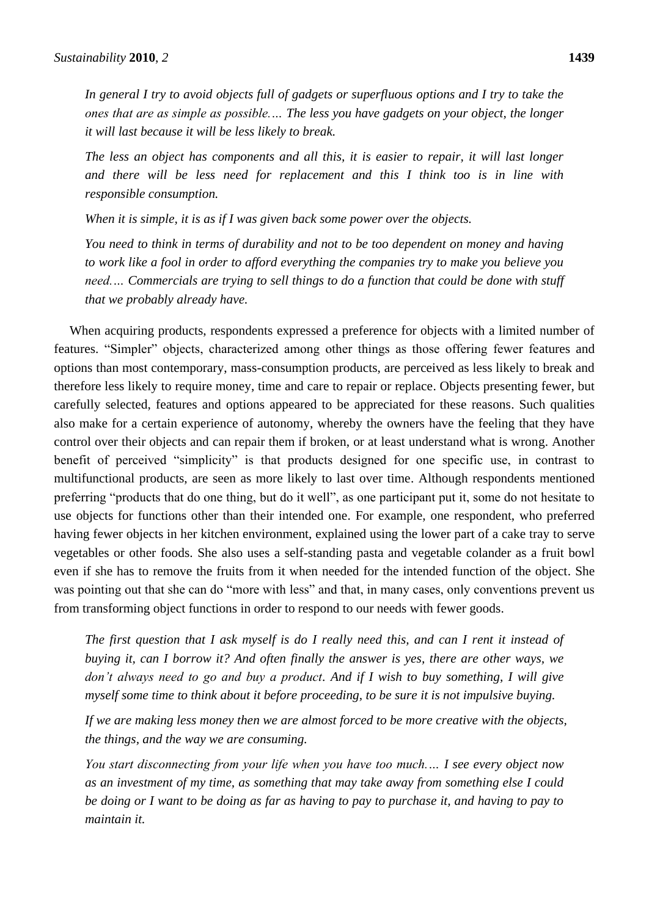*In general I try to avoid objects full of gadgets or superfluous options and I try to take the ones that are as simple as possible.… The less you have gadgets on your object, the longer it will last because it will be less likely to break.*

*The less an object has components and all this, it is easier to repair, it will last longer and there will be less need for replacement and this I think too is in line with responsible consumption.* 

*When it is simple, it is as if I was given back some power over the objects.*

*You need to think in terms of durability and not to be too dependent on money and having to work like a fool in order to afford everything the companies try to make you believe you need.… Commercials are trying to sell things to do a function that could be done with stuff that we probably already have.*

When acquiring products, respondents expressed a preference for objects with a limited number of features. "Simpler" objects, characterized among other things as those offering fewer features and options than most contemporary, mass-consumption products, are perceived as less likely to break and therefore less likely to require money, time and care to repair or replace. Objects presenting fewer, but carefully selected, features and options appeared to be appreciated for these reasons. Such qualities also make for a certain experience of autonomy, whereby the owners have the feeling that they have control over their objects and can repair them if broken, or at least understand what is wrong. Another benefit of perceived "simplicity" is that products designed for one specific use, in contrast to multifunctional products, are seen as more likely to last over time. Although respondents mentioned preferring "products that do one thing, but do it well", as one participant put it, some do not hesitate to use objects for functions other than their intended one. For example, one respondent, who preferred having fewer objects in her kitchen environment, explained using the lower part of a cake tray to serve vegetables or other foods. She also uses a self-standing pasta and vegetable colander as a fruit bowl even if she has to remove the fruits from it when needed for the intended function of the object. She was pointing out that she can do "more with less" and that, in many cases, only conventions prevent us from transforming object functions in order to respond to our needs with fewer goods.

*The first question that I ask myself is do I really need this, and can I rent it instead of buying it, can I borrow it? And often finally the answer is yes, there are other ways, we don't always need to go and buy a product. And if I wish to buy something, I will give myself some time to think about it before proceeding, to be sure it is not impulsive buying.* 

*If we are making less money then we are almost forced to be more creative with the objects, the things, and the way we are consuming.*

*You start disconnecting from your life when you have too much.… I see every object now as an investment of my time, as something that may take away from something else I could be doing or I want to be doing as far as having to pay to purchase it, and having to pay to maintain it.*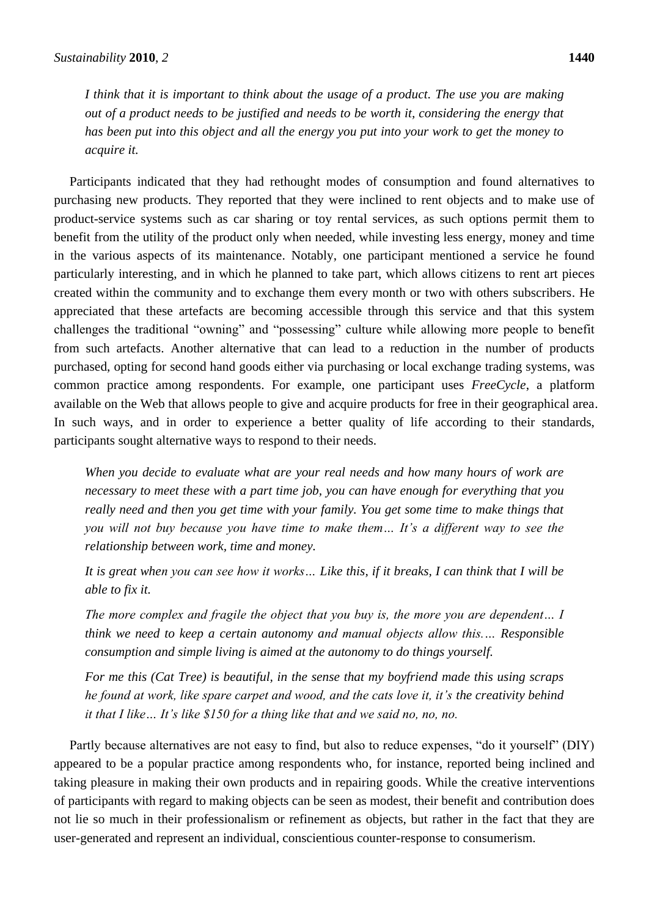*I think that it is important to think about the usage of a product. The use you are making out of a product needs to be justified and needs to be worth it, considering the energy that has been put into this object and all the energy you put into your work to get the money to acquire it.* 

Participants indicated that they had rethought modes of consumption and found alternatives to purchasing new products. They reported that they were inclined to rent objects and to make use of product-service systems such as car sharing or toy rental services, as such options permit them to benefit from the utility of the product only when needed, while investing less energy, money and time in the various aspects of its maintenance. Notably, one participant mentioned a service he found particularly interesting, and in which he planned to take part, which allows citizens to rent art pieces created within the community and to exchange them every month or two with others subscribers. He appreciated that these artefacts are becoming accessible through this service and that this system challenges the traditional "owning" and "possessing" culture while allowing more people to benefit from such artefacts. Another alternative that can lead to a reduction in the number of products purchased, opting for second hand goods either via purchasing or local exchange trading systems, was common practice among respondents. For example, one participant uses *FreeCycle*, a platform available on the Web that allows people to give and acquire products for free in their geographical area. In such ways, and in order to experience a better quality of life according to their standards, participants sought alternative ways to respond to their needs.

*When you decide to evaluate what are your real needs and how many hours of work are necessary to meet these with a part time job, you can have enough for everything that you really need and then you get time with your family. You get some time to make things that you will not buy because you have time to make them… It's a different way to see the relationship between work, time and money.* 

*It is great when you can see how it works… Like this, if it breaks, I can think that I will be able to fix it.* 

*The more complex and fragile the object that you buy is, the more you are dependent… I think we need to keep a certain autonomy and manual objects allow this.… Responsible consumption and simple living is aimed at the autonomy to do things yourself.*

*For me this (Cat Tree) is beautiful, in the sense that my boyfriend made this using scraps he found at work, like spare carpet and wood, and the cats love it, it's the creativity behind it that I like… It's like \$150 for a thing like that and we said no, no, no.*

Partly because alternatives are not easy to find, but also to reduce expenses, "do it yourself" (DIY) appeared to be a popular practice among respondents who, for instance, reported being inclined and taking pleasure in making their own products and in repairing goods. While the creative interventions of participants with regard to making objects can be seen as modest, their benefit and contribution does not lie so much in their professionalism or refinement as objects, but rather in the fact that they are user-generated and represent an individual, conscientious counter-response to consumerism.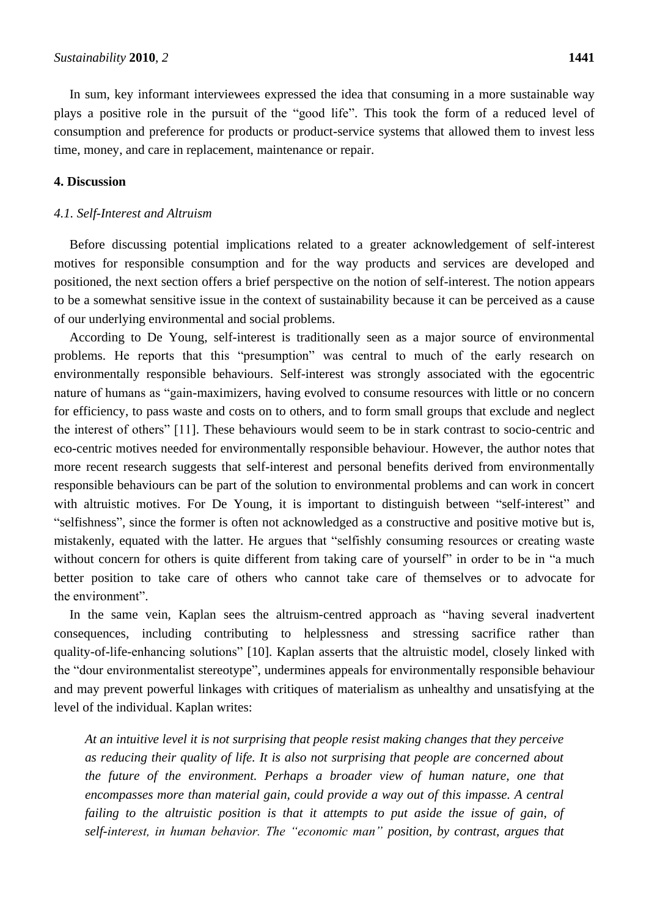In sum, key informant interviewees expressed the idea that consuming in a more sustainable way plays a positive role in the pursuit of the "good life". This took the form of a reduced level of consumption and preference for products or product-service systems that allowed them to invest less time, money, and care in replacement, maintenance or repair.

#### **4. Discussion**

#### *4.1. Self-Interest and Altruism*

Before discussing potential implications related to a greater acknowledgement of self-interest motives for responsible consumption and for the way products and services are developed and positioned, the next section offers a brief perspective on the notion of self-interest. The notion appears to be a somewhat sensitive issue in the context of sustainability because it can be perceived as a cause of our underlying environmental and social problems.

According to De Young, self-interest is traditionally seen as a major source of environmental problems. He reports that this "presumption" was central to much of the early research on environmentally responsible behaviours. Self-interest was strongly associated with the egocentric nature of humans as "gain-maximizers, having evolved to consume resources with little or no concern for efficiency, to pass waste and costs on to others, and to form small groups that exclude and neglect the interest of others" [11]. These behaviours would seem to be in stark contrast to socio-centric and eco-centric motives needed for environmentally responsible behaviour. However, the author notes that more recent research suggests that self-interest and personal benefits derived from environmentally responsible behaviours can be part of the solution to environmental problems and can work in concert with altruistic motives. For De Young, it is important to distinguish between "self-interest" and "selfishness", since the former is often not acknowledged as a constructive and positive motive but is, mistakenly, equated with the latter. He argues that "selfishly consuming resources or creating waste without concern for others is quite different from taking care of yourself" in order to be in "a much better position to take care of others who cannot take care of themselves or to advocate for the environment".

In the same vein, Kaplan sees the altruism-centred approach as "having several inadvertent consequences, including contributing to helplessness and stressing sacrifice rather than quality-of-life-enhancing solutions" [10]. Kaplan asserts that the altruistic model, closely linked with the "dour environmentalist stereotype", undermines appeals for environmentally responsible behaviour and may prevent powerful linkages with critiques of materialism as unhealthy and unsatisfying at the level of the individual. Kaplan writes:

*At an intuitive level it is not surprising that people resist making changes that they perceive as reducing their quality of life. It is also not surprising that people are concerned about the future of the environment. Perhaps a broader view of human nature, one that encompasses more than material gain, could provide a way out of this impasse. A central failing to the altruistic position is that it attempts to put aside the issue of gain, of self-interest, in human behavior. The "economic man" position, by contrast, argues that*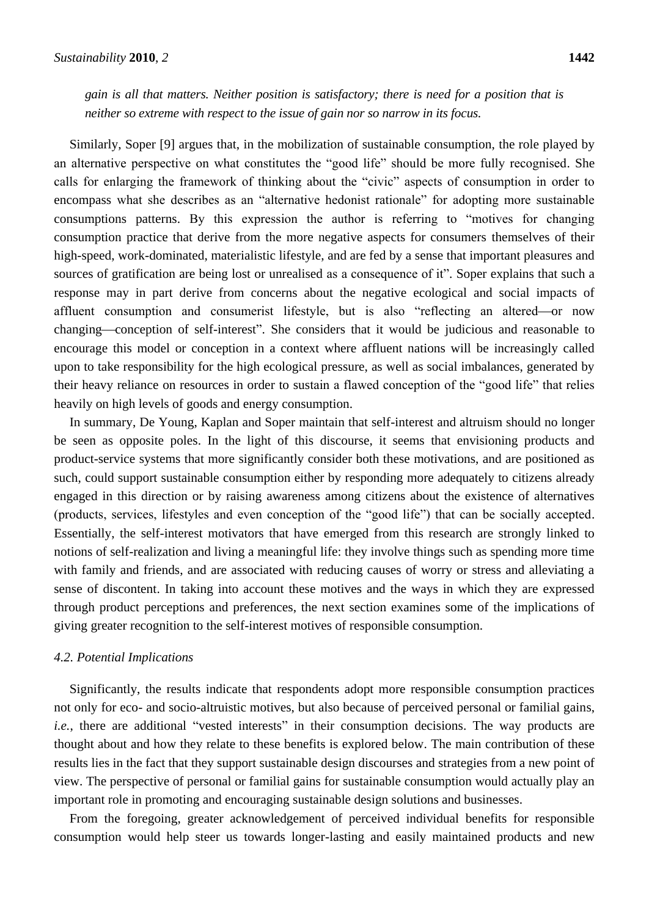*gain is all that matters. Neither position is satisfactory; there is need for a position that is neither so extreme with respect to the issue of gain nor so narrow in its focus.*

Similarly, Soper [9] argues that, in the mobilization of sustainable consumption, the role played by an alternative perspective on what constitutes the "good life" should be more fully recognised. She calls for enlarging the framework of thinking about the "civic" aspects of consumption in order to encompass what she describes as an "alternative hedonist rationale" for adopting more sustainable consumptions patterns. By this expression the author is referring to "motives for changing consumption practice that derive from the more negative aspects for consumers themselves of their high-speed, work-dominated, materialistic lifestyle, and are fed by a sense that important pleasures and sources of gratification are being lost or unrealised as a consequence of it". Soper explains that such a response may in part derive from concerns about the negative ecological and social impacts of affluent consumption and consumerist lifestyle, but is also "reflecting an altered—or now changing—conception of self-interest". She considers that it would be judicious and reasonable to encourage this model or conception in a context where affluent nations will be increasingly called upon to take responsibility for the high ecological pressure, as well as social imbalances, generated by their heavy reliance on resources in order to sustain a flawed conception of the "good life" that relies heavily on high levels of goods and energy consumption.

In summary, De Young, Kaplan and Soper maintain that self-interest and altruism should no longer be seen as opposite poles. In the light of this discourse, it seems that envisioning products and product-service systems that more significantly consider both these motivations, and are positioned as such, could support sustainable consumption either by responding more adequately to citizens already engaged in this direction or by raising awareness among citizens about the existence of alternatives (products, services, lifestyles and even conception of the "good life") that can be socially accepted. Essentially, the self-interest motivators that have emerged from this research are strongly linked to notions of self-realization and living a meaningful life: they involve things such as spending more time with family and friends, and are associated with reducing causes of worry or stress and alleviating a sense of discontent. In taking into account these motives and the ways in which they are expressed through product perceptions and preferences, the next section examines some of the implications of giving greater recognition to the self-interest motives of responsible consumption.

#### *4.2. Potential Implications*

Significantly, the results indicate that respondents adopt more responsible consumption practices not only for eco- and socio-altruistic motives, but also because of perceived personal or familial gains, *i.e.*, there are additional "vested interests" in their consumption decisions. The way products are thought about and how they relate to these benefits is explored below. The main contribution of these results lies in the fact that they support sustainable design discourses and strategies from a new point of view. The perspective of personal or familial gains for sustainable consumption would actually play an important role in promoting and encouraging sustainable design solutions and businesses.

From the foregoing, greater acknowledgement of perceived individual benefits for responsible consumption would help steer us towards longer-lasting and easily maintained products and new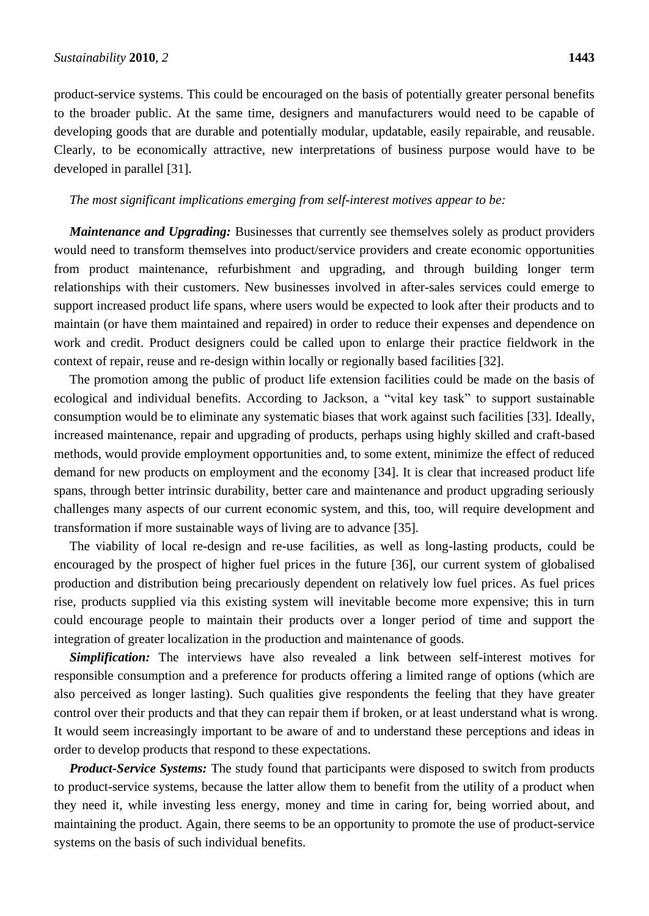product-service systems. This could be encouraged on the basis of potentially greater personal benefits to the broader public. At the same time, designers and manufacturers would need to be capable of developing goods that are durable and potentially modular, updatable, easily repairable, and reusable. Clearly, to be economically attractive, new interpretations of business purpose would have to be developed in parallel [31].

### *The most significant implications emerging from self-interest motives appear to be:*

*Maintenance and Upgrading:* Businesses that currently see themselves solely as product providers would need to transform themselves into product/service providers and create economic opportunities from product maintenance, refurbishment and upgrading, and through building longer term relationships with their customers. New businesses involved in after-sales services could emerge to support increased product life spans, where users would be expected to look after their products and to maintain (or have them maintained and repaired) in order to reduce their expenses and dependence on work and credit. Product designers could be called upon to enlarge their practice fieldwork in the context of repair, reuse and re-design within locally or regionally based facilities [32].

The promotion among the public of product life extension facilities could be made on the basis of ecological and individual benefits. According to Jackson, a "vital key task" to support sustainable consumption would be to eliminate any systematic biases that work against such facilities [33]. Ideally, increased maintenance, repair and upgrading of products, perhaps using highly skilled and craft-based methods, would provide employment opportunities and, to some extent, minimize the effect of reduced demand for new products on employment and the economy [34]. It is clear that increased product life spans, through better intrinsic durability, better care and maintenance and product upgrading seriously challenges many aspects of our current economic system, and this, too, will require development and transformation if more sustainable ways of living are to advance [35].

The viability of local re-design and re-use facilities, as well as long-lasting products, could be encouraged by the prospect of higher fuel prices in the future [36], our current system of globalised production and distribution being precariously dependent on relatively low fuel prices. As fuel prices rise, products supplied via this existing system will inevitable become more expensive; this in turn could encourage people to maintain their products over a longer period of time and support the integration of greater localization in the production and maintenance of goods.

*Simplification:* The interviews have also revealed a link between self-interest motives for responsible consumption and a preference for products offering a limited range of options (which are also perceived as longer lasting). Such qualities give respondents the feeling that they have greater control over their products and that they can repair them if broken, or at least understand what is wrong. It would seem increasingly important to be aware of and to understand these perceptions and ideas in order to develop products that respond to these expectations.

*Product-Service Systems:* The study found that participants were disposed to switch from products to product-service systems, because the latter allow them to benefit from the utility of a product when they need it, while investing less energy, money and time in caring for, being worried about, and maintaining the product. Again, there seems to be an opportunity to promote the use of product-service systems on the basis of such individual benefits.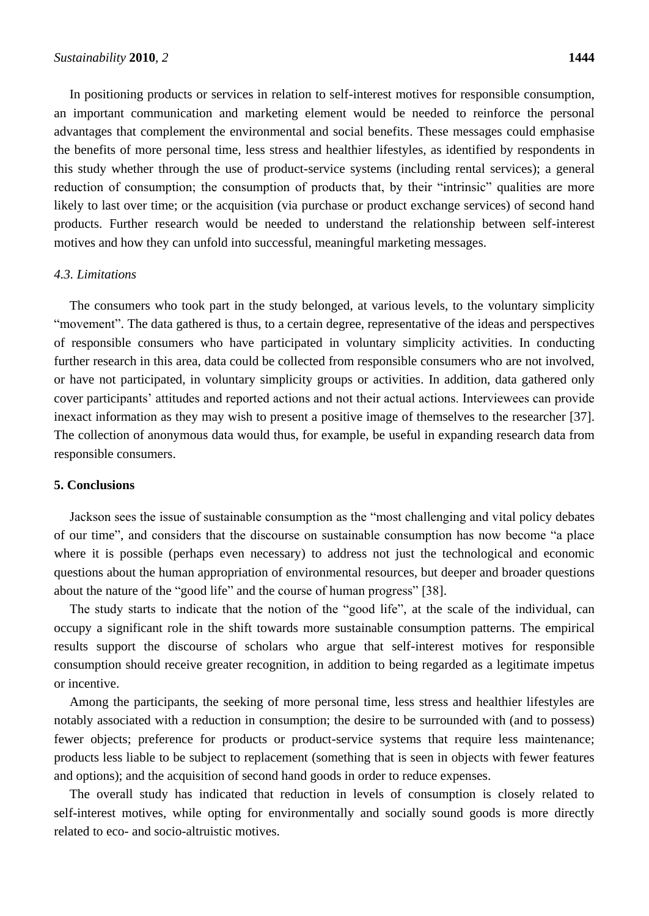In positioning products or services in relation to self-interest motives for responsible consumption, an important communication and marketing element would be needed to reinforce the personal advantages that complement the environmental and social benefits. These messages could emphasise the benefits of more personal time, less stress and healthier lifestyles, as identified by respondents in this study whether through the use of product-service systems (including rental services); a general reduction of consumption; the consumption of products that, by their "intrinsic" qualities are more likely to last over time; or the acquisition (via purchase or product exchange services) of second hand products. Further research would be needed to understand the relationship between self-interest motives and how they can unfold into successful, meaningful marketing messages.

### *4.3. Limitations*

The consumers who took part in the study belonged, at various levels, to the voluntary simplicity ―movement‖. The data gathered is thus, to a certain degree, representative of the ideas and perspectives of responsible consumers who have participated in voluntary simplicity activities. In conducting further research in this area, data could be collected from responsible consumers who are not involved, or have not participated, in voluntary simplicity groups or activities. In addition, data gathered only cover participants' attitudes and reported actions and not their actual actions. Interviewees can provide inexact information as they may wish to present a positive image of themselves to the researcher [37]. The collection of anonymous data would thus, for example, be useful in expanding research data from responsible consumers.

## **5. Conclusions**

Jackson sees the issue of sustainable consumption as the "most challenging and vital policy debates of our time", and considers that the discourse on sustainable consumption has now become "a place where it is possible (perhaps even necessary) to address not just the technological and economic questions about the human appropriation of environmental resources, but deeper and broader questions about the nature of the "good life" and the course of human progress" [38].

The study starts to indicate that the notion of the "good life", at the scale of the individual, can occupy a significant role in the shift towards more sustainable consumption patterns. The empirical results support the discourse of scholars who argue that self-interest motives for responsible consumption should receive greater recognition, in addition to being regarded as a legitimate impetus or incentive.

Among the participants, the seeking of more personal time, less stress and healthier lifestyles are notably associated with a reduction in consumption; the desire to be surrounded with (and to possess) fewer objects; preference for products or product-service systems that require less maintenance; products less liable to be subject to replacement (something that is seen in objects with fewer features and options); and the acquisition of second hand goods in order to reduce expenses.

The overall study has indicated that reduction in levels of consumption is closely related to self-interest motives, while opting for environmentally and socially sound goods is more directly related to eco- and socio-altruistic motives.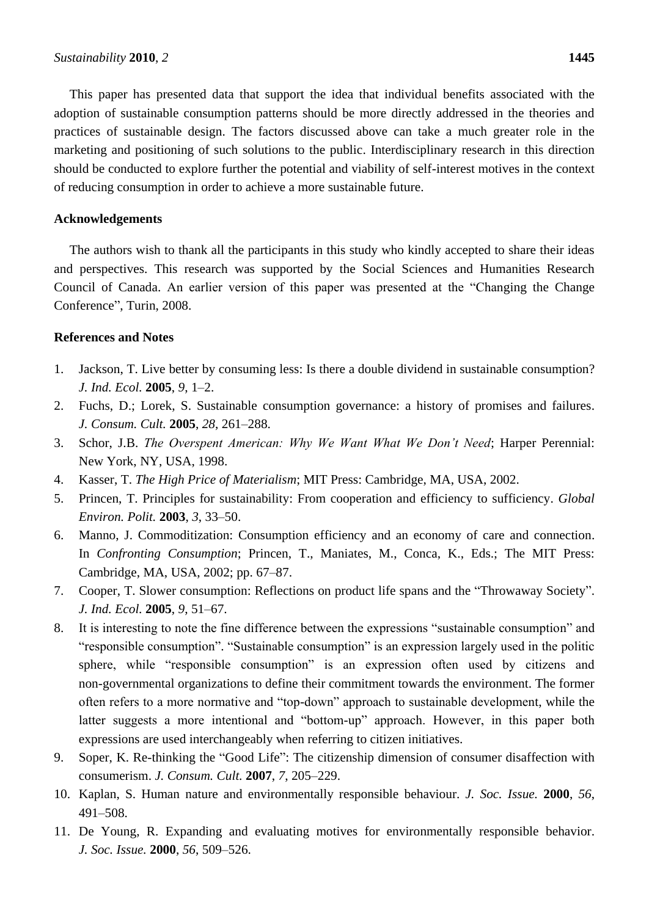This paper has presented data that support the idea that individual benefits associated with the adoption of sustainable consumption patterns should be more directly addressed in the theories and practices of sustainable design. The factors discussed above can take a much greater role in the marketing and positioning of such solutions to the public. Interdisciplinary research in this direction should be conducted to explore further the potential and viability of self-interest motives in the context of reducing consumption in order to achieve a more sustainable future.

#### **Acknowledgements**

The authors wish to thank all the participants in this study who kindly accepted to share their ideas and perspectives. This research was supported by the Social Sciences and Humanities Research Council of Canada. An earlier version of this paper was presented at the "Changing the Change Conference", Turin, 2008.

#### **References and Notes**

- 1. Jackson, T. Live better by consuming less: Is there a double dividend in sustainable consumption? *J. Ind. Ecol.* **2005**, *9*, 1–2.
- 2. Fuchs, D.; Lorek, S. Sustainable consumption governance: a history of promises and failures. *J. Consum. Cult.* **2005**, *28*, 261–288.
- 3. Schor, J.B. *The Overspent American: Why We Want What We Don't Need*; Harper Perennial: New York, NY, USA, 1998.
- 4. Kasser, T. *The High Price of Materialism*; MIT Press: Cambridge, MA, USA, 2002.
- 5. Princen, T. Principles for sustainability: From cooperation and efficiency to sufficiency. *Global Environ. Polit.* **2003**, *3*, 33–50.
- 6. Manno, J. Commoditization: Consumption efficiency and an economy of care and connection. In *Confronting Consumption*; Princen, T., Maniates, M., Conca, K., Eds.; The MIT Press: Cambridge, MA, USA, 2002; pp. 67–87.
- 7. Cooper, T. Slower consumption: Reflections on product life spans and the "Throwaway Society". *J. Ind. Ecol.* **2005**, *9*, 51–67.
- 8. It is interesting to note the fine difference between the expressions "sustainable consumption" and "responsible consumption". "Sustainable consumption" is an expression largely used in the politic sphere, while "responsible consumption" is an expression often used by citizens and non-governmental organizations to define their commitment towards the environment. The former often refers to a more normative and "top-down" approach to sustainable development, while the latter suggests a more intentional and "bottom-up" approach. However, in this paper both expressions are used interchangeably when referring to citizen initiatives.
- 9. Soper, K. Re-thinking the "Good Life": The citizenship dimension of consumer disaffection with consumerism. *J. Consum. Cult.* **2007**, *7*, 205–229.
- 10. Kaplan, S. Human nature and environmentally responsible behaviour. *J. Soc. Issue.* **2000**, *56*, 491–508.
- 11. De Young, R. Expanding and evaluating motives for environmentally responsible behavior. *J. Soc. Issue.* **2000**, *56*, 509–526.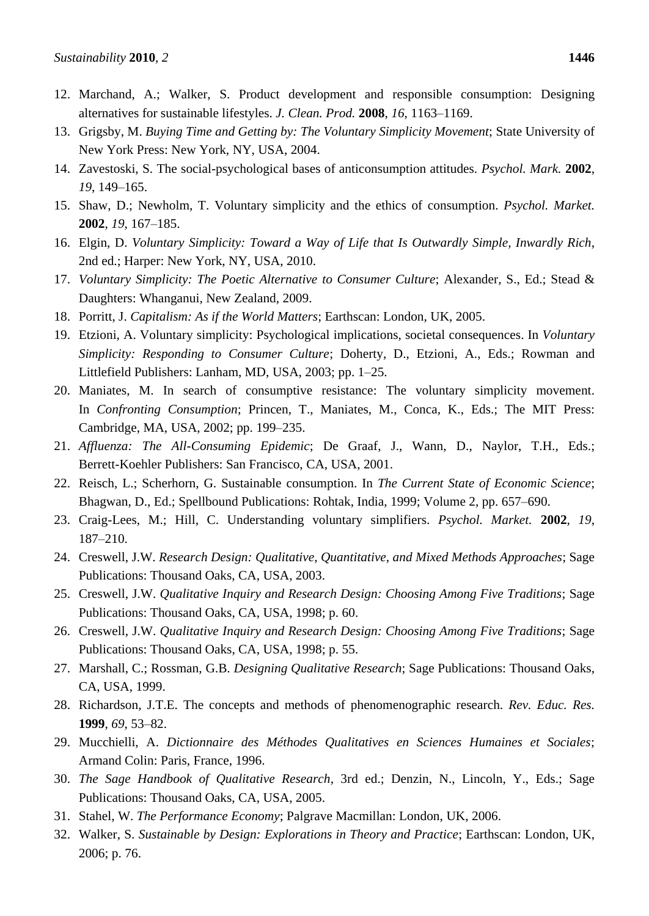- 12. Marchand, A.; Walker, S. Product development and responsible consumption: Designing alternatives for sustainable lifestyles. *J. Clean. Prod.* **2008**, *16*, 1163–1169.
- 13. Grigsby, M. *Buying Time and Getting by: The Voluntary Simplicity Movement*; State University of New York Press: New York, NY, USA, 2004.
- 14. Zavestoski, S. The social-psychological bases of anticonsumption attitudes. *Psychol. Mark.* **2002**, *19*, 149–165.
- 15. Shaw, D.; Newholm, T. Voluntary simplicity and the ethics of consumption. *Psychol. Market.*  **2002**, *19*, 167–185.
- 16. Elgin, D. *Voluntary Simplicity: Toward a Way of Life that Is Outwardly Simple, Inwardly Rich*, 2nd ed.; Harper: New York, NY, USA, 2010.
- 17. *Voluntary Simplicity: The Poetic Alternative to Consumer Culture*; Alexander, S., Ed.; Stead & Daughters: Whanganui, New Zealand, 2009.
- 18. Porritt, J. *Capitalism: As if the World Matters*; Earthscan: London, UK, 2005.
- 19. Etzioni, A. Voluntary simplicity: Psychological implications, societal consequences. In *Voluntary Simplicity: Responding to Consumer Culture*; Doherty, D., Etzioni, A., Eds.; Rowman and Littlefield Publishers: Lanham, MD, USA, 2003; pp. 1–25.
- 20. Maniates, M. In search of consumptive resistance: The voluntary simplicity movement. In *Confronting Consumption*; Princen, T., Maniates, M., Conca, K., Eds.; The MIT Press: Cambridge, MA, USA, 2002; pp. 199–235.
- 21. *Affluenza: The All-Consuming Epidemic*; De Graaf, J., Wann, D., Naylor, T.H., Eds.; Berrett-Koehler Publishers: San Francisco, CA, USA, 2001.
- 22. Reisch, L.; Scherhorn, G. Sustainable consumption. In *The Current State of Economic Science*; Bhagwan, D., Ed.; Spellbound Publications: Rohtak, India, 1999; Volume 2, pp. 657–690.
- 23. Craig-Lees, M.; Hill, C. Understanding voluntary simplifiers. *Psychol. Market.* **2002**, *19*, 187–210.
- 24. Creswell, J.W. *Research Design: Qualitative, Quantitative, and Mixed Methods Approaches*; Sage Publications: Thousand Oaks, CA, USA, 2003.
- 25. Creswell, J.W. *Qualitative Inquiry and Research Design: Choosing Among Five Traditions*; Sage Publications: Thousand Oaks, CA, USA, 1998; p. 60.
- 26. Creswell, J.W. *Qualitative Inquiry and Research Design: Choosing Among Five Traditions*; Sage Publications: Thousand Oaks, CA, USA, 1998; p. 55.
- 27. Marshall, C.; Rossman, G.B. *Designing Qualitative Research*; Sage Publications: Thousand Oaks, CA, USA, 1999.
- 28. Richardson, J.T.E. The concepts and methods of phenomenographic research. *Rev. Educ. Res.*  **1999**, *69*, 53–82.
- 29. Mucchielli, A. *Dictionnaire des Méthodes Qualitatives en Sciences Humaines et Sociales*; Armand Colin: Paris, France, 1996.
- 30. *The Sage Handbook of Qualitative Research*, 3rd ed.; Denzin, N., Lincoln, Y., Eds.; Sage Publications: Thousand Oaks, CA, USA, 2005.
- 31. Stahel, W. *The Performance Economy*; Palgrave Macmillan: London, UK, 2006.
- 32. Walker, S. *Sustainable by Design: Explorations in Theory and Practice*; Earthscan: London, UK, 2006; p. 76.